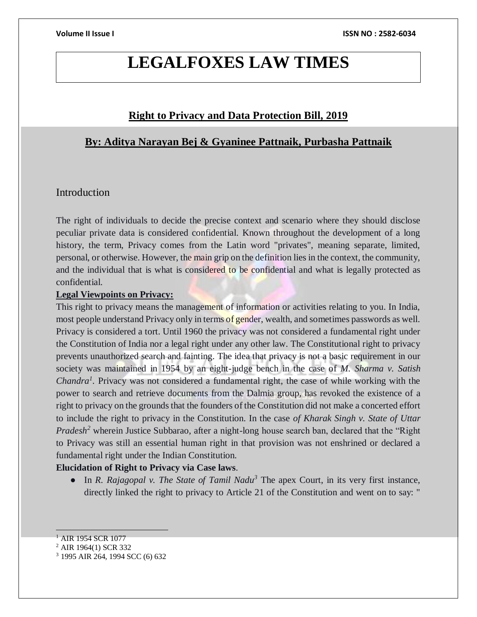# **LEGALFOXES LAW TIMES**

# **Right to Privacy and Data Protection Bill, 2019**

# **By: Aditya Narayan Bej & Gyaninee Pattnaik, Purbasha Pattnaik**

# Introduction

The right of individuals to decide the precise context and scenario where they should disclose peculiar private data is considered confidential. Known throughout the development of a long history, the term, Privacy comes from the Latin word "privates", meaning separate, limited, personal, or otherwise. However, the main grip on the definition lies in the context, the community, and the individual that is what is considered to be confidential and what is legally protected as confidential.

# **Legal Viewpoints on Privacy:**

This right to privacy means the management of information or activities relating to you. In India, most people understand Privacy only in terms of gender, wealth, and sometimes passwords as well. Privacy is considered a tort. Until 1960 the privacy was not considered a fundamental right under the Constitution of India nor a legal right under any other law. The Constitutional right to privacy prevents unauthorized search and fainting. The idea that privacy is not a basic requirement in our society was maintained in 1954 by an eight-judge bench in the case of *M. Sharma v. Satish Chandra<sup>1</sup> .* Privacy was not considered a fundamental right, the case of while working with the power to search and retrieve documents from the Dalmia group, has revoked the existence of a right to privacy on the grounds that the founders of the Constitution did not make a concerted effort to include the right to privacy in the Constitution. In the case *of Kharak Singh v. State of Uttar Pradesh<sup>2</sup>* wherein Justice Subbarao, after a night-long house search ban, declared that the "Right to Privacy was still an essential human right in that provision was not enshrined or declared a fundamental right under the Indian Constitution.

# **Elucidation of Right to Privacy via Case laws**.

• In *R. Rajagopal v. The State of Tamil Nadu<sup>3</sup>* The apex Court, in its very first instance, directly linked the right to privacy to Article 21 of the Constitution and went on to say: "

 $\overline{a}$ 

<sup>&</sup>lt;sup>1</sup> AIR 1954 SCR 1077

<sup>2</sup> AIR 1964(1) SCR 332

<sup>3</sup> 1995 AIR 264, 1994 SCC (6) 632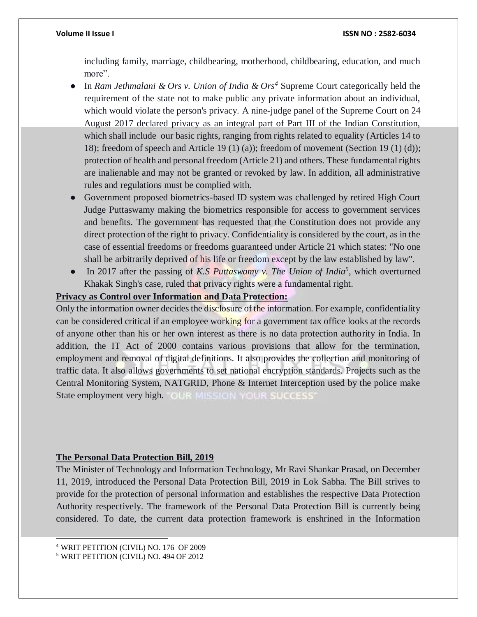including family, marriage, childbearing, motherhood, childbearing, education, and much more".

- In *Ram Jethmalani & Ors v. Union of India & Ors<sup>4</sup>* Supreme Court categorically held the requirement of the state not to make public any private information about an individual, which would violate the person's privacy. A nine-judge panel of the Supreme Court on 24 August 2017 declared privacy as an integral part of Part III of the Indian Constitution, which shall include our basic rights, ranging from rights related to equality (Articles 14 to 18); freedom of speech and Article 19 (1) (a)); freedom of movement (Section 19 (1) (d)); protection of health and personal freedom (Article 21) and others. These fundamental rights are inalienable and may not be granted or revoked by law. In addition, all administrative rules and regulations must be complied with.
- Government proposed biometrics-based ID system was challenged by retired High Court Judge Puttaswamy making the biometrics responsible for access to government services and benefits. The government has requested that the Constitution does not provide any direct protection of the right to privacy. Confidentiality is considered by the court, as in the case of essential freedoms or freedoms guaranteed under Article 21 which states: "No one shall be arbitrarily deprived of his life or freedom except by the law established by law".
- In 2017 after the passing of *K.S Puttaswamy v. The Union of India*<sup>5</sup>, which overturned Khakak Singh's case, ruled that privacy rights were a fundamental right.

# **Privacy as Control over Information and Data Protection:**

Only the information owner decides the disclosure of the information. For example, confidentiality can be considered critical if an employee working for a government tax office looks at the records of anyone other than his or her own interest as there is no data protection authority in India. In addition, the IT Act of 2000 contains various provisions that allow for the termination, employment and removal of digital definitions. It also provides the collection and monitoring of traffic data. It also allows governments to set national encryption standards. Projects such as the Central Monitoring System, NATGRID, Phone & Internet Interception used by the police make State employment very high. OUR MISSION YOUR SUCCESS

# **The Personal Data Protection Bill, 2019**

The Minister of Technology and Information Technology, Mr Ravi Shankar Prasad, on December 11, 2019, introduced the Personal Data Protection Bill, 2019 in Lok Sabha. The Bill strives to provide for the protection of personal information and establishes the respective Data Protection Authority respectively. The framework of the Personal Data Protection Bill is currently being considered. To date, the current data protection framework is enshrined in the Information

<sup>4</sup> WRIT PETITION (CIVIL) NO. 176 OF 2009

l

<sup>5</sup> WRIT PETITION (CIVIL) NO. 494 OF 2012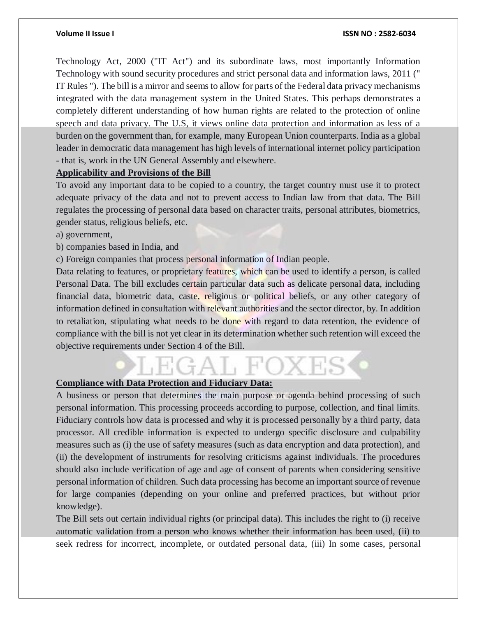Technology Act, 2000 ("IT Act") and its subordinate laws, most importantly Information Technology with sound security procedures and strict personal data and information laws, 2011 (" IT Rules "). The bill is a mirror and seems to allow for parts of the Federal data privacy mechanisms integrated with the data management system in the United States. This perhaps demonstrates a completely different understanding of how human rights are related to the protection of online speech and data privacy. The U.S, it views online data protection and information as less of a burden on the government than, for example, many European Union counterparts. India as a global leader in democratic data management has high levels of international internet policy participation - that is, work in the UN General Assembly and elsewhere.

# **Applicability and Provisions of the Bill**

To avoid any important data to be copied to a country, the target country must use it to protect adequate privacy of the data and not to prevent access to Indian law from that data. The Bill regulates the processing of personal data based on character traits, personal attributes, biometrics, gender status, religious beliefs, etc.

a) government,

b) companies based in India, and

c) Foreign companies that process personal information of Indian people.

Data relating to features, or proprietary features, which can be used to identify a person, is called Personal Data. The bill excludes certain particular data such as delicate personal data, including financial data, biometric data, caste, religious or political beliefs, or any other category of information defined in consultation with relevant authorities and the sector director, by. In addition to retaliation, stipulating what needs to be done with regard to data retention, the evidence of compliance with the bill is not yet clear in its determination whether such retention will exceed the objective requirements under Section 4 of the Bill.

# **Compliance with Data Protection and Fiduciary Data:**

A business or person that determines the main purpose or agenda behind processing of such personal information. This processing proceeds according to purpose, collection, and final limits. Fiduciary controls how data is processed and why it is processed personally by a third party, data processor. All credible information is expected to undergo specific disclosure and culpability measures such as (i) the use of safety measures (such as data encryption and data protection), and (ii) the development of instruments for resolving criticisms against individuals. The procedures should also include verification of age and age of consent of parents when considering sensitive personal information of children. Such data processing has become an important source of revenue for large companies (depending on your online and preferred practices, but without prior knowledge).

The Bill sets out certain individual rights (or principal data). This includes the right to (i) receive automatic validation from a person who knows whether their information has been used, (ii) to seek redress for incorrect, incomplete, or outdated personal data, (iii) In some cases, personal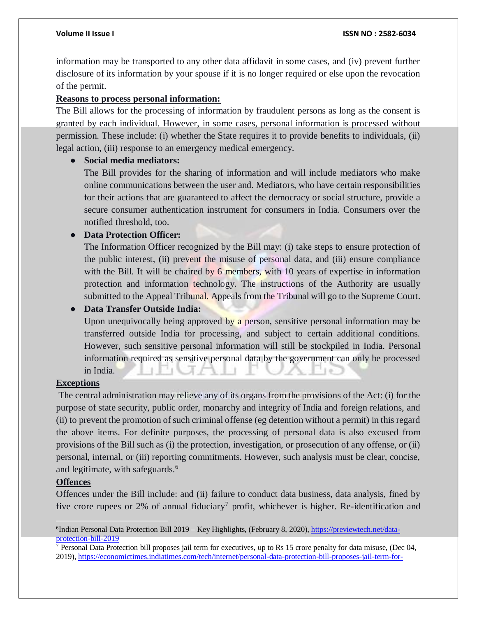## **Volume II Issue I ISSN NO : 2582-6034**

information may be transported to any other data affidavit in some cases, and (iv) prevent further disclosure of its information by your spouse if it is no longer required or else upon the revocation of the permit.

# **Reasons to process personal information:**

The Bill allows for the processing of information by fraudulent persons as long as the consent is granted by each individual. However, in some cases, personal information is processed without permission. These include: (i) whether the State requires it to provide benefits to individuals, (ii) legal action, (iii) response to an emergency medical emergency.

# ● **Social media mediators:**

The Bill provides for the sharing of information and will include mediators who make online communications between the user and. Mediators, who have certain responsibilities for their actions that are guaranteed to affect the democracy or social structure, provide a secure consumer authentication instrument for consumers in India. Consumers over the notified threshold, too.

# ● **Data Protection Officer:**

The Information Officer recognized by the Bill may: (i) take steps to ensure protection of the public interest, (ii) prevent the misuse of personal data, and (iii) ensure compliance with the Bill. It will be chaired by 6 members, with 10 years of expertise in information protection and information technology. The instructions of the Authority are usually submitted to the Appeal Tribunal. Appeals from the Tribunal will go to the Supreme Court.

# ● **Data Transfer Outside India:**

Upon unequivocally being approved by a person, sensitive personal information may be transferred outside India for processing, and subject to certain additional conditions. However, such sensitive personal information will still be stockpiled in India. Personal information required as sensitive personal data by the government can only be processed in India.

# **Exceptions**

The central administration may relieve any of its organs from the provisions of the Act: (i) for the purpose of state security, public order, monarchy and integrity of India and foreign relations, and (ii) to prevent the promotion of such criminal offense (eg detention without a permit) in this regard the above items. For definite purposes, the processing of personal data is also excused from provisions of the Bill such as (i) the protection, investigation, or prosecution of any offense, or (ii) personal, internal, or (iii) reporting commitments. However, such analysis must be clear, concise, and legitimate, with safeguards.<sup>6</sup>

# **Offences**

 $\overline{a}$ 

Offences under the Bill include: and (ii) failure to conduct data business, data analysis, fined by five crore rupees or 2% of annual fiduciary<sup>7</sup> profit, whichever is higher. Re-identification and

<sup>&</sup>lt;sup>6</sup>Indian Personal Data Protection Bill 2019 - Key Highlights, (February 8, 2020)[, https://previewtech.net/data](https://previewtech.net/data-protection-bill-2019)[protection-bill-2019](https://previewtech.net/data-protection-bill-2019)

 $7$  Personal Data Protection bill proposes jail term for executives, up to Rs 15 crore penalty for data misuse, (Dec 04, 2019)[, https://economictimes.indiatimes.com/tech/internet/personal-data-protection-bill-proposes-jail-term-for-](https://economictimes.indiatimes.com/tech/internet/personal-data-protection-bill-proposes-jail-term-for-executives-up-to-rs-15-crore-penalty-for-data-misuse/articleshow/72370222.cms?utm_source=contentofinterest&utm_medium=text&utm_campaign=cppst)